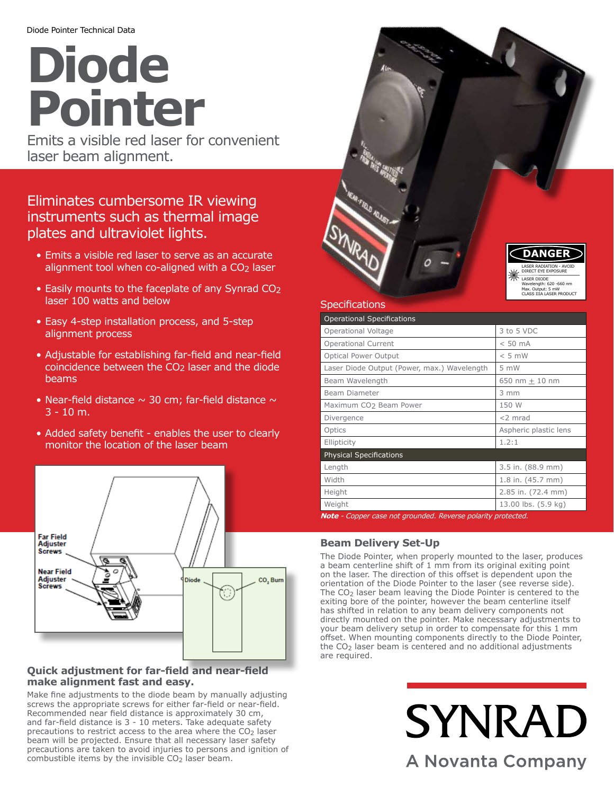# **Diode Pointer**

Emits a visible red laser for convenient laser beam alignment.

## Eliminates cumbersome IR viewing instruments such as thermal image plates and ultraviolet lights.

- Emits a visible red laser to serve as an accurate alignment tool when co-aligned with a CO<sub>2</sub> laser
- Easily mounts to the faceplate of any Synrad CO2 laser 100 watts and below
- Easy 4-step installation process, and 5-step alignment process
- Adjustable for establishing far-field and near-field coincidence between the CO<sub>2</sub> laser and the diode beams
- Near-field distance  $\sim$  30 cm; far-field distance  $\sim$  $3 - 10$  m.
- Added safety benefit enables the user to clearly monitor the location of the laser beam



## **Quick adjustment for far-field and near-field make alignment fast and easy.**

Make fine adjustments to the diode beam by manually adjusting screws the appropriate screws for either far-field or near-field. Recommended near field distance is approximately 30 cm, and far-field distance is 3 - 10 meters. Take adequate safety precautions to restrict access to the area where the  $CO<sub>2</sub>$  laser beam will be projected. Ensure that all necessary laser safety precautions are taken to avoid injuries to persons and ignition of combustible items by the invisible  $CO<sub>2</sub>$  laser beam.



|  |  | <b>Specifications</b> |
|--|--|-----------------------|
|  |  |                       |

| <b>Operational Specifications</b>                                                                                                                                                                                                                                                                   |                       |  |  |  |  |
|-----------------------------------------------------------------------------------------------------------------------------------------------------------------------------------------------------------------------------------------------------------------------------------------------------|-----------------------|--|--|--|--|
| Operational Voltage                                                                                                                                                                                                                                                                                 | 3 to 5 VDC            |  |  |  |  |
| <b>Operational Current</b>                                                                                                                                                                                                                                                                          | $< 50$ mA             |  |  |  |  |
| Optical Power Output                                                                                                                                                                                                                                                                                | $< 5$ mW              |  |  |  |  |
| Laser Diode Output (Power, max.) Wavelength                                                                                                                                                                                                                                                         | $5 \, \text{mW}$      |  |  |  |  |
| Beam Wavelength                                                                                                                                                                                                                                                                                     | 650 nm $\pm$ 10 nm    |  |  |  |  |
| Beam Diameter                                                                                                                                                                                                                                                                                       | $3 \, \text{mm}$      |  |  |  |  |
| Maximum CO <sub>2</sub> Beam Power                                                                                                                                                                                                                                                                  | 150 W                 |  |  |  |  |
| Divergence                                                                                                                                                                                                                                                                                          | $<$ 2 mrad            |  |  |  |  |
| Optics                                                                                                                                                                                                                                                                                              | Aspheric plastic lens |  |  |  |  |
| Ellipticity                                                                                                                                                                                                                                                                                         | 1.2:1                 |  |  |  |  |
| <b>Physical Specifications</b>                                                                                                                                                                                                                                                                      |                       |  |  |  |  |
| Length                                                                                                                                                                                                                                                                                              | 3.5 in. (88.9 mm)     |  |  |  |  |
| Width                                                                                                                                                                                                                                                                                               | 1.8 in. (45.7 mm)     |  |  |  |  |
| Height                                                                                                                                                                                                                                                                                              | 2.85 in. (72.4 mm)    |  |  |  |  |
| Weight<br><b>All <math>\mathbf{A}</math></b> $\mathbf{A}$ and $\mathbf{A}$ is a set of the set of $\mathbf{A}$ . The set of $\mathbf{A}$ is a set of $\mathbf{A}$ is a set of $\mathbf{A}$ is a set of $\mathbf{A}$ is a set of $\mathbf{A}$ is a set of $\mathbf{A}$ is a set of $\mathbf{A}$ is a | 13.00 lbs. (5.9 kg)   |  |  |  |  |

*nt grounded. Reverse polarity pro* 

## **Beam Delivery Set-Up**

The Diode Pointer, when properly mounted to the laser, produces a beam centerline shift of 1 mm from its original exiting point on the laser. The direction of this offset is dependent upon the orientation of the Diode Pointer to the laser (see reverse side). The CO2 laser beam leaving the Diode Pointer is centered to the exiting bore of the pointer, however the beam centerline itself has shifted in relation to any beam delivery components not directly mounted on the pointer. Make necessary adjustments to your beam delivery setup in order to compensate for this 1 mm offset. When mounting components directly to the Diode Pointer, the CO<sub>2</sub> laser beam is centered and no additional adjustments are required.